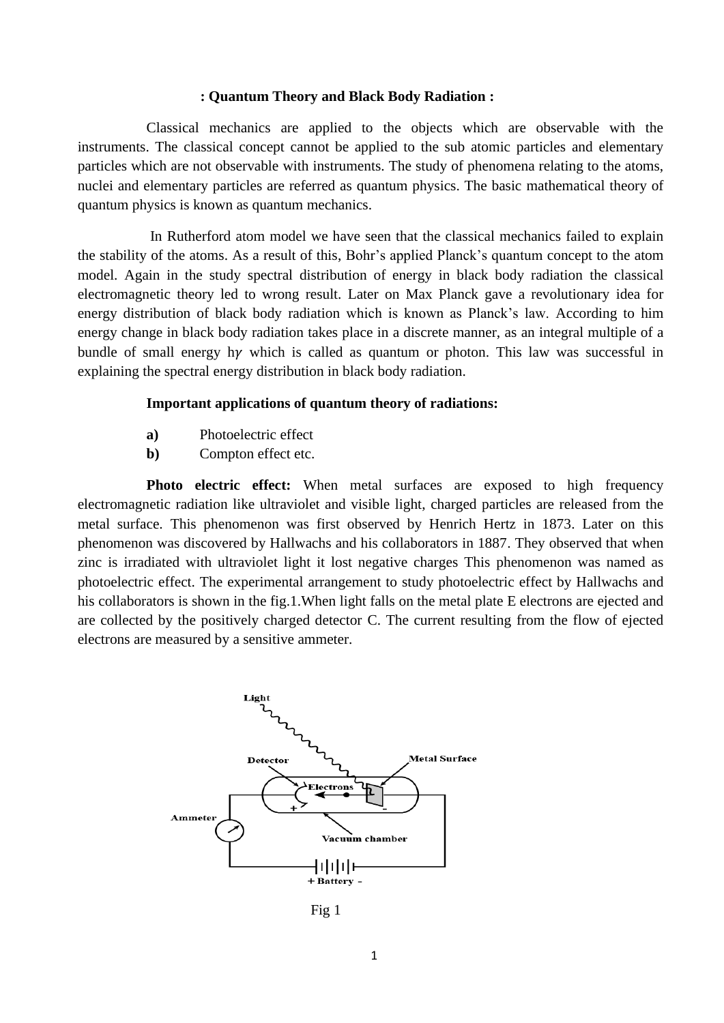## **: Quantum Theory and Black Body Radiation :**

Classical mechanics are applied to the objects which are observable with the instruments. The classical concept cannot be applied to the sub atomic particles and elementary particles which are not observable with instruments. The study of phenomena relating to the atoms, nuclei and elementary particles are referred as quantum physics. The basic mathematical theory of quantum physics is known as quantum mechanics.

In Rutherford atom model we have seen that the classical mechanics failed to explain the stability of the atoms. As a result of this, Bohr's applied Planck's quantum concept to the atom model. Again in the study spectral distribution of energy in black body radiation the classical electromagnetic theory led to wrong result. Later on Max Planck gave a revolutionary idea for energy distribution of black body radiation which is known as Planck's law. According to him energy change in black body radiation takes place in a discrete manner, as an integral multiple of a bundle of small energy hy which is called as quantum or photon. This law was successful in explaining the spectral energy distribution in black body radiation.

## **Important applications of quantum theory of radiations:**

- **a)** Photoelectric effect
- **b)** Compton effect etc.

**Photo electric effect:** When metal surfaces are exposed to high frequency electromagnetic radiation like ultraviolet and visible light, charged particles are released from the metal surface. This phenomenon was first observed by Henrich Hertz in 1873. Later on this phenomenon was discovered by Hallwachs and his collaborators in 1887. They observed that when zinc is irradiated with ultraviolet light it lost negative charges This phenomenon was named as photoelectric effect. The experimental arrangement to study photoelectric effect by Hallwachs and his collaborators is shown in the fig.1.When light falls on the metal plate E electrons are ejected and are collected by the positively charged detector C. The current resulting from the flow of ejected electrons are measured by a sensitive ammeter.



Fig 1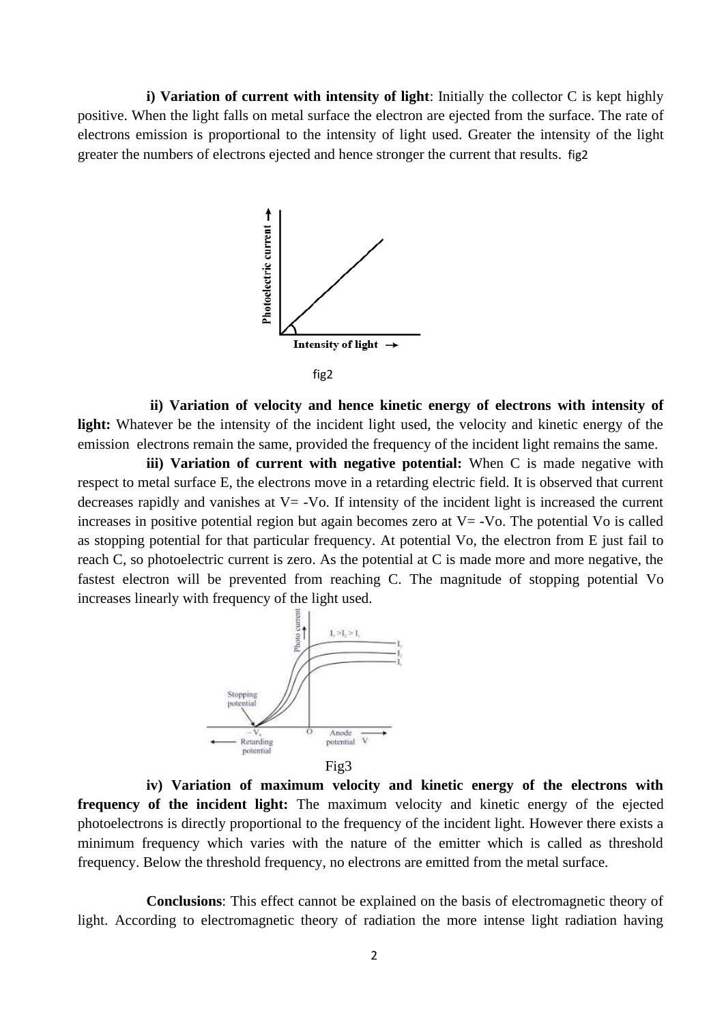**i) Variation of current with intensity of light**: Initially the collector C is kept highly positive. When the light falls on metal surface the electron are ejected from the surface. The rate of electrons emission is proportional to the intensity of light used. Greater the intensity of the light greater the numbers of electrons ejected and hence stronger the current that results. fig2



**ii) Variation of velocity and hence kinetic energy of electrons with intensity of**  light: Whatever be the intensity of the incident light used, the velocity and kinetic energy of the emission electrons remain the same, provided the frequency of the incident light remains the same.

**iii) Variation of current with negative potential:** When C is made negative with respect to metal surface E, the electrons move in a retarding electric field. It is observed that current decreases rapidly and vanishes at  $V = -V_0$ . If intensity of the incident light is increased the current increases in positive potential region but again becomes zero at  $V = -V_0$ . The potential Vo is called as stopping potential for that particular frequency. At potential Vo, the electron from E just fail to reach C, so photoelectric current is zero. As the potential at C is made more and more negative, the fastest electron will be prevented from reaching C. The magnitude of stopping potential Vo increases linearly with frequency of the light used.



Fig3

**iv) Variation of maximum velocity and kinetic energy of the electrons with frequency of the incident light:** The maximum velocity and kinetic energy of the ejected photoelectrons is directly proportional to the frequency of the incident light. However there exists a minimum frequency which varies with the nature of the emitter which is called as threshold frequency. Below the threshold frequency, no electrons are emitted from the metal surface.

**Conclusions**: This effect cannot be explained on the basis of electromagnetic theory of light. According to electromagnetic theory of radiation the more intense light radiation having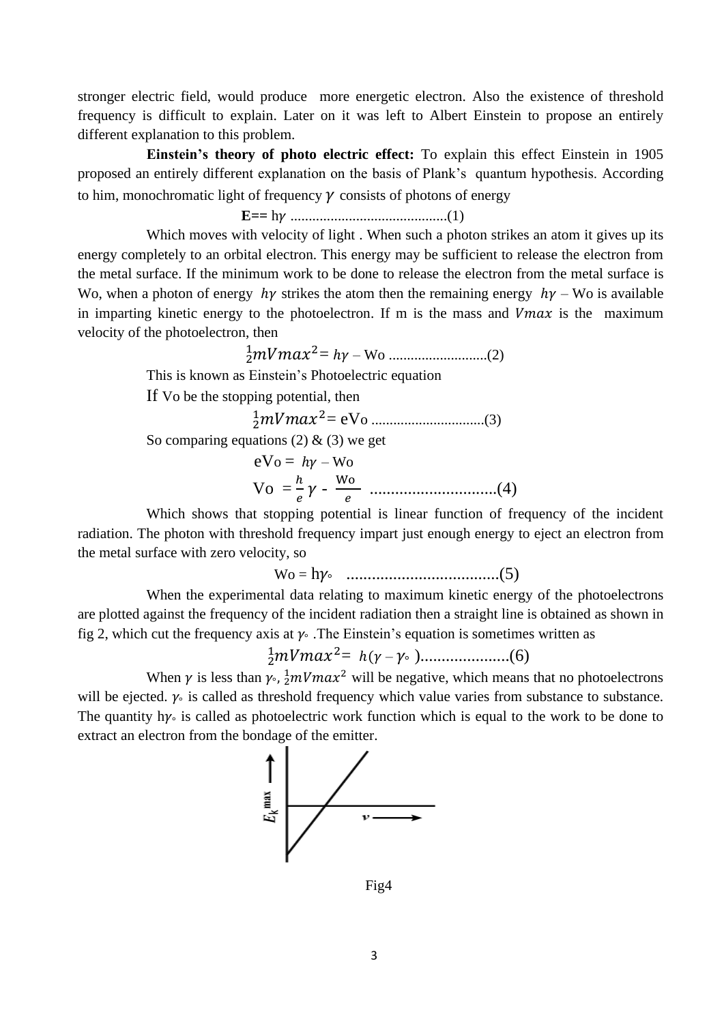stronger electric field, would produce more energetic electron. Also the existence of threshold frequency is difficult to explain. Later on it was left to Albert Einstein to propose an entirely different explanation to this problem.

**Einstein's theory of photo electric effect:** To explain this effect Einstein in 1905 proposed an entirely different explanation on the basis of Plank's quantum hypothesis. According to him, monochromatic light of frequency  $\gamma$  consists of photons of energy

## **E==** h ...........................................(1)

Which moves with velocity of light. When such a photon strikes an atom it gives up its energy completely to an orbital electron. This energy may be sufficient to release the electron from the metal surface. If the minimum work to be done to release the electron from the metal surface is Wo, when a photon of energy  $h\gamma$  strikes the atom then the remaining energy  $h\gamma$  – Wo is available in imparting kinetic energy to the photoelectron. If m is the mass and  $Vmax$  is the maximum velocity of the photoelectron, then

 <sup>2</sup> <sup>1</sup>2= ℎ – Wo ...........................(2)

This is known as Einstein's Photoelectric equation

If Vo be the stopping potential, then

 <sup>2</sup> <sup>1</sup>2= eVo ...............................(3)

So comparing equations (2)  $\&$  (3) we get

$$
eV_0 = hy - W_0
$$
  
 
$$
V_0 = \frac{h}{e}\gamma - \frac{W_0}{e}
$$
 ....... (4)

Which shows that stopping potential is linear function of frequency of the incident radiation. The photon with threshold frequency impart just enough energy to eject an electron from the metal surface with zero velocity, so

Wo = h° ....................................(5)

When the experimental data relating to maximum kinetic energy of the photoelectrons are plotted against the frequency of the incident radiation then a straight line is obtained as shown in fig 2, which cut the frequency axis at  $\gamma$ . The Einstein's equation is sometimes written as

2 <sup>1</sup>2= ℎ( – ° ).....................(6)

When  $\gamma$  is less than  $\gamma_0$ ,  $\frac{1}{2} m V max^2$  will be negative, which means that no photoelectrons will be ejected.  $\gamma$  is called as threshold frequency which value varies from substance to substance. The quantity  $h\gamma$  is called as photoelectric work function which is equal to the work to be done to extract an electron from the bondage of the emitter.



Fig4